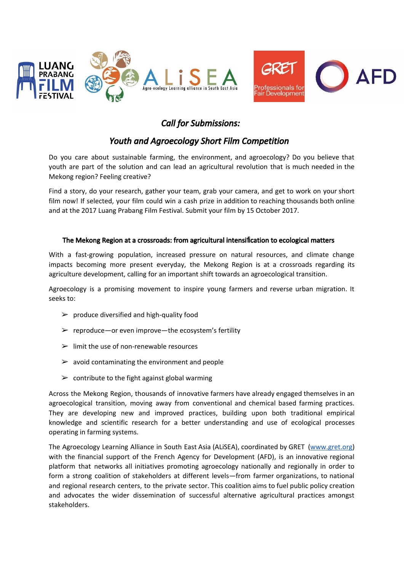



# *Call for Submissions:*

# *Youth and Agroecology Short Film Competition*

Do you care about sustainable farming, the environment, and agroecology? Do you believe that youth are part of the solution and can lead an agricultural revolution that is much needed in the Mekong region? Feeling creative?

Find a story, do your research, gather your team, grab your camera, and get to work on your short film now! If selected, your film could win a cash prize in addition to reaching thousands both online and at the 2017 Luang Prabang Film Festival. Submit your film by 15 October 2017.

# The Mekong Region at a crossroads: from agricultural intensification to ecological matters

With a fast-growing population, increased pressure on natural resources, and climate change impacts becoming more present everyday, the Mekong Region is at a crossroads regarding its agriculture development, calling for an important shift towards an agroecological transition.

Agroecology is a promising movement to inspire young farmers and reverse urban migration. It seeks to:

- $\triangleright$  produce diversified and high-quality food
- $\triangleright$  reproduce—or even improve—the ecosystem's fertility
- $\triangleright$  limit the use of non-renewable resources
- $\geq$  avoid contaminating the environment and people
- $\geq$  contribute to the fight against global warming

Across the Mekong Region, thousands of innovative farmers have already engaged themselves in an agroecological transition, moving away from conventional and chemical based farming practices. They are developing new and improved practices, building upon both traditional empirical knowledge and scientific research for a better understanding and use of ecological processes operating in farming systems.

The Agroecology Learning Alliance in South East Asia (ALiSEA), coordinated by GRET [\(www.gret.org](http://www.gret.org/)) with the financial support of the French Agency for Development (AFD), is an innovative regional platform that networks all initiatives promoting agroecology nationally and regionally in order to form a strong coalition of stakeholders at different levels—from farmer organizations, to national and regional research centers, to the private sector. This coalition aims to fuel public policy creation and advocates the wider dissemination of successful alternative agricultural practices amongst stakeholders.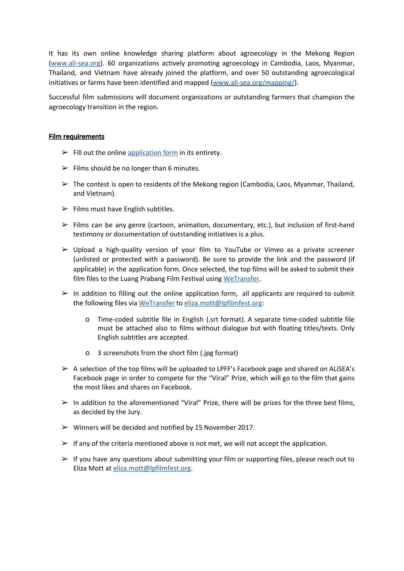It has its own online knowledge sharing platform about agroecology in the Mekong Region [\(www.ali-sea.org\)](http://www.ali-sea.org/). 60 organizations actively promoting agroecology in Cambodia, Laos, Myanmar, Thailand, and Vietnam have already joined the platform, and over 50 outstanding agroecological initiatives or farms have been identified and mapped [\(www.ali-sea.org/mapping/\)](http://www.ali-sea.org/mapping/).

Successful film submissions will document organizations or outstanding farmers that champion the agroecology transition in the region.

#### Film requirements

- $\triangleright$  Fill out the online [application](https://goo.gl/forms/Bwlebef8jG7MaQ302) form in its entirety.
- $\triangleright$  Films should be no longer than 6 minutes.
- $\triangleright$  The contest is open to residents of the Mekong region (Cambodia, Laos, Myanmar, Thailand, and Vietnam).
- $\triangleright$  Films must have English subtitles.
- $\triangleright$  Films can be any genre (cartoon, animation, documentary, etc.), but inclusion of first-hand testimony or documentation of outstanding initiatives is a plus.
- $\triangleright$  Upload a high-quality version of your film to YouTube or Vimeo as a private screener (unlisted or protected with a password). Be sure to provide the link and the password (if applicable) in the application form. Once selected, the top films will be asked to submit their film files to the Luang Prabang Film Festival using [WeTransfer.](https://wetransfer.com/)
- $\triangleright$  In addition to filling out the online application form, all applicants are required to submit the following files via [WeTransfer](https://wetransfer.com/) to [eliza.mott@lpfilmfest.org:](mailto:eliza.mott@lpfilmfest.org)
	- o Time-coded subtitle file in English (.srt format). A separate time-coded subtitle file must be attached also to films without dialogue but with floating titles/texts. Only English subtitles are accepted.
	- o 3 screenshots from the short film (.jpg format)
- $\triangleright$  A selection of the top films will be uploaded to LPFF's Facebook page and shared on ALISEA's Facebook page in order to compete for the "Viral" Prize, which will go to the film that gains the most likes and shares on Facebook.
- $\triangleright$  In addition to the aforementioned "Viral" Prize, there will be prizes for the three best films, as decided by the Jury.
- $\triangleright$  Winners will be decided and notified by 15 November 2017.
- $\triangleright$  If any of the criteria mentioned above is not met, we will not accept the application.
- $\triangleright$  If you have any questions about submitting your film or supporting files, please reach out to Eliza Mott at [eliza.mott@lpfilmfest.org.](mailto:eliza.mott@lpfilmfest.org)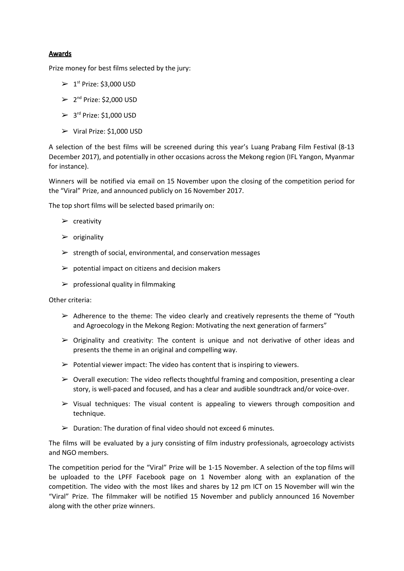### Awards

Prize money for best films selected by the jury:

- $\geq 1^{st}$  Prize: \$3,000 USD
- $\geq 2^{nd}$  Prize: \$2,000 USD
- $\geq 3^{rd}$  Prize: \$1,000 USD
- ➢ Viral Prize: \$1,000 USD

A selection of the best films will be screened during this year's Luang Prabang Film Festival (8-13 December 2017), and potentially in other occasions across the Mekong region (IFL Yangon, Myanmar for instance).

Winners will be notified via email on 15 November upon the closing of the competition period for the "Viral" Prize, and announced publicly on 16 November 2017.

The top short films will be selected based primarily on:

- $\triangleright$  creativity
- $\rho$  originality
- $\triangleright$  strength of social, environmental, and conservation messages
- $\triangleright$  potential impact on citizens and decision makers
- $\triangleright$  professional quality in filmmaking

Other criteria:

- $\triangleright$  Adherence to the theme: The video clearly and creatively represents the theme of "Youth" and Agroecology in the Mekong Region: Motivating the next generation of farmers"
- $\triangleright$  Originality and creativity: The content is unique and not derivative of other ideas and presents the theme in an original and compelling way.
- $\triangleright$  Potential viewer impact: The video has content that is inspiring to viewers.
- $\triangleright$  Overall execution: The video reflects thoughtful framing and composition, presenting a clear story, is well-paced and focused, and has a clear and audible soundtrack and/or voice-over.
- $\triangleright$  Visual techniques: The visual content is appealing to viewers through composition and technique.
- $\triangleright$  Duration: The duration of final video should not exceed 6 minutes.

The films will be evaluated by a jury consisting of film industry professionals, agroecology activists and NGO members.

The competition period for the "Viral" Prize will be 1-15 November. A selection of the top films will be uploaded to the LPFF Facebook page on 1 November along with an explanation of the competition. The video with the most likes and shares by 12 pm ICT on 15 November will win the "Viral" Prize. The filmmaker will be notified 15 November and publicly announced 16 November along with the other prize winners.